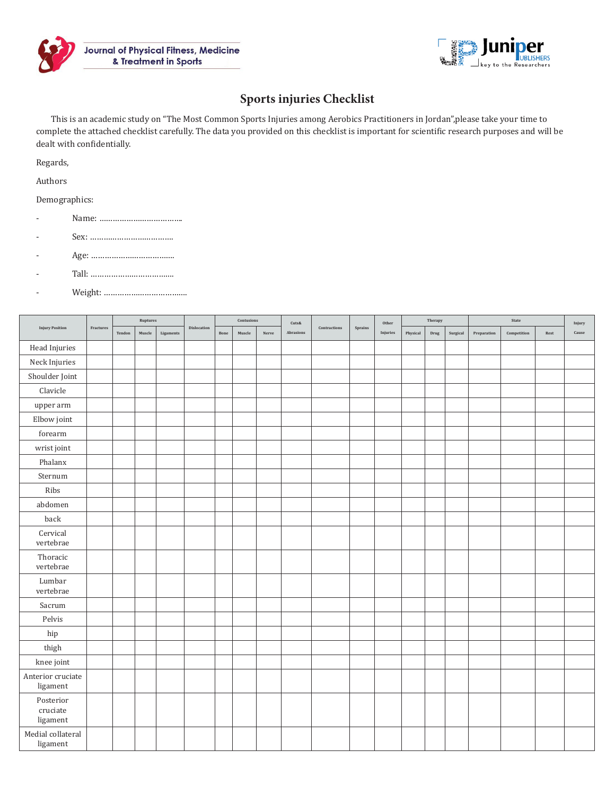



## **Sports injuries Checklist**

This is an academic study on "The Most Common Sports Injuries among Aerobics Practitioners in Jordan",please take your time to complete the attached checklist carefully. The data you provided on this checklist is important for scientific research purposes and will be dealt with confidentially.

Regards,

Authors

Demographics:

- Name: ……………………………….
- Sex: ……………………………….
- Age: ……………………………….
- Tall: ……………………………….
- Weight: ……………………………….

| <b>Injury Position</b>            | Fractures | Ruptures |        |           |                        | Contusions |        |       | $\mbox{\texttt{Cuts}}\&$ |              |                      | Other    | Therapy  |      |          | State       |             |      | Injury       |
|-----------------------------------|-----------|----------|--------|-----------|------------------------|------------|--------|-------|--------------------------|--------------|----------------------|----------|----------|------|----------|-------------|-------------|------|--------------|
|                                   |           | Tendon   | Muscle | Ligaments | $\mathbf{Dislocation}$ | Bone       | Muscle | Nerve | Abrasions                | Contractions | $\mbox{\bf Sprains}$ | Injuries | Physical | Drug | Surgical | Preparation | Competition | Rest | $\sf{Cause}$ |
| Head Injuries                     |           |          |        |           |                        |            |        |       |                          |              |                      |          |          |      |          |             |             |      |              |
| Neck Injuries                     |           |          |        |           |                        |            |        |       |                          |              |                      |          |          |      |          |             |             |      |              |
| Shoulder Joint                    |           |          |        |           |                        |            |        |       |                          |              |                      |          |          |      |          |             |             |      |              |
| Clavicle                          |           |          |        |           |                        |            |        |       |                          |              |                      |          |          |      |          |             |             |      |              |
| upper arm                         |           |          |        |           |                        |            |        |       |                          |              |                      |          |          |      |          |             |             |      |              |
| Elbow joint                       |           |          |        |           |                        |            |        |       |                          |              |                      |          |          |      |          |             |             |      |              |
| forearm                           |           |          |        |           |                        |            |        |       |                          |              |                      |          |          |      |          |             |             |      |              |
| wrist joint                       |           |          |        |           |                        |            |        |       |                          |              |                      |          |          |      |          |             |             |      |              |
| Phalanx                           |           |          |        |           |                        |            |        |       |                          |              |                      |          |          |      |          |             |             |      |              |
| Sternum                           |           |          |        |           |                        |            |        |       |                          |              |                      |          |          |      |          |             |             |      |              |
| Ribs                              |           |          |        |           |                        |            |        |       |                          |              |                      |          |          |      |          |             |             |      |              |
| abdomen                           |           |          |        |           |                        |            |        |       |                          |              |                      |          |          |      |          |             |             |      |              |
| back                              |           |          |        |           |                        |            |        |       |                          |              |                      |          |          |      |          |             |             |      |              |
| Cervical<br>vertebrae             |           |          |        |           |                        |            |        |       |                          |              |                      |          |          |      |          |             |             |      |              |
| Thoracic<br>vertebrae             |           |          |        |           |                        |            |        |       |                          |              |                      |          |          |      |          |             |             |      |              |
| Lumbar<br>vertebrae               |           |          |        |           |                        |            |        |       |                          |              |                      |          |          |      |          |             |             |      |              |
| Sacrum                            |           |          |        |           |                        |            |        |       |                          |              |                      |          |          |      |          |             |             |      |              |
| Pelvis                            |           |          |        |           |                        |            |        |       |                          |              |                      |          |          |      |          |             |             |      |              |
| hip                               |           |          |        |           |                        |            |        |       |                          |              |                      |          |          |      |          |             |             |      |              |
| thigh                             |           |          |        |           |                        |            |        |       |                          |              |                      |          |          |      |          |             |             |      |              |
| knee joint                        |           |          |        |           |                        |            |        |       |                          |              |                      |          |          |      |          |             |             |      |              |
| Anterior cruciate<br>ligament     |           |          |        |           |                        |            |        |       |                          |              |                      |          |          |      |          |             |             |      |              |
| Posterior<br>cruciate<br>ligament |           |          |        |           |                        |            |        |       |                          |              |                      |          |          |      |          |             |             |      |              |
| Medial collateral<br>ligament     |           |          |        |           |                        |            |        |       |                          |              |                      |          |          |      |          |             |             |      |              |